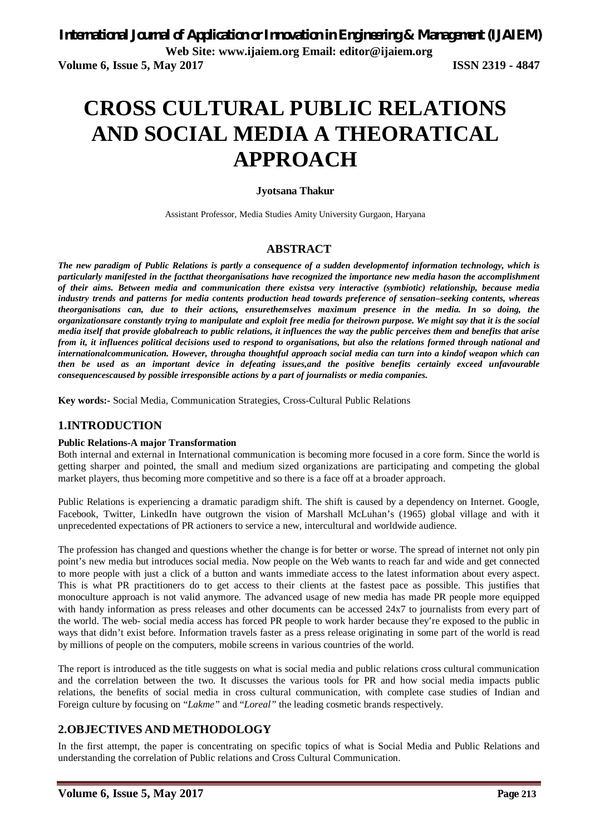# **CROSS CULTURAL PUBLIC RELATIONS AND SOCIAL MEDIA A THEORATICAL APPROACH**

# **Jyotsana Thakur**

Assistant Professor, Media Studies Amity University Gurgaon, Haryana

# **ABSTRACT**

*The new paradigm of Public Relations is partly a consequence of a sudden developmentof information technology, which is particularly manifested in the factthat theorganisations have recognized the importance new media hason the accomplishment of their aims. Between media and communication there existsa very interactive (symbiotic) relationship, because media industry trends and patterns for media contents production head towards preference of sensation–seeking contents, whereas theorganisations can, due to their actions, ensurethemselves maximum presence in the media. In so doing, the organizationsare constantly trying to manipulate and exploit free media for theirown purpose. We might say that it is the social media itself that provide globalreach to public relations, it influences the way the public perceives them and benefits that arise from it, it influences political decisions used to respond to organisations, but also the relations formed through national and internationalcommunication. However, througha thoughtful approach social media can turn into a kindof weapon which can then be used as an important device in defeating issues,and the positive benefits certainly exceed unfavourable consequencescaused by possible irresponsible actions by a part of journalists or media companies.*

**Key words:-** Social Media, Communication Strategies, Cross-Cultural Public Relations

# **1.INTRODUCTION**

## **Public Relations-A major Transformation**

Both internal and external in International communication is becoming more focused in a core form. Since the world is getting sharper and pointed, the small and medium sized organizations are participating and competing the global market players, thus becoming more competitive and so there is a face off at a broader approach.

Public Relations is experiencing a dramatic paradigm shift. The shift is caused by a dependency on Internet. Google, Facebook, Twitter, LinkedIn have outgrown the vision of Marshall McLuhan's (1965) global village and with it unprecedented expectations of PR actioners to service a new, intercultural and worldwide audience.

The profession has changed and questions whether the change is for better or worse. The spread of internet not only pin point's new media but introduces social media. Now people on the Web wants to reach far and wide and get connected to more people with just a click of a button and wants immediate access to the latest information about every aspect. This is what PR practitioners do to get access to their clients at the fastest pace as possible. This justifies that monoculture approach is not valid anymore. The advanced usage of new media has made PR people more equipped with handy information as press releases and other documents can be accessed 24x7 to journalists from every part of the world. The web- social media access has forced PR people to work harder because they're exposed to the public in ways that didn't exist before. Information travels faster as a press release originating in some part of the world is read by millions of people on the computers, mobile screens in various countries of the world.

The report is introduced as the title suggests on what is social media and public relations cross cultural communication and the correlation between the two. It discusses the various tools for PR and how social media impacts public relations, the benefits of social media in cross cultural communication, with complete case studies of Indian and Foreign culture by focusing on "*Lakme"* and "*Loreal"* the leading cosmetic brands respectively.

# **2.OBJECTIVES AND METHODOLOGY**

In the first attempt, the paper is concentrating on specific topics of what is Social Media and Public Relations and understanding the correlation of Public relations and Cross Cultural Communication.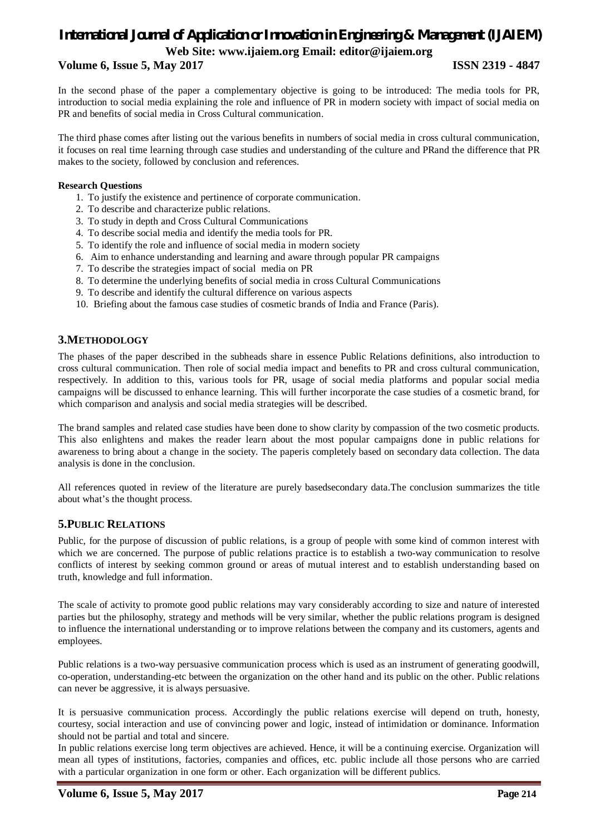# **Volume 6, Issue 5, May 2017 ISSN 2319 - 4847**

In the second phase of the paper a complementary objective is going to be introduced: The media tools for PR, introduction to social media explaining the role and influence of PR in modern society with impact of social media on PR and benefits of social media in Cross Cultural communication.

The third phase comes after listing out the various benefits in numbers of social media in cross cultural communication, it focuses on real time learning through case studies and understanding of the culture and PRand the difference that PR makes to the society, followed by conclusion and references.

## **Research Questions**

- 1. To justify the existence and pertinence of corporate communication.
- 2. To describe and characterize public relations.
- 3. To study in depth and Cross Cultural Communications
- 4. To describe social media and identify the media tools for PR.
- 5. To identify the role and influence of social media in modern society
- 6. Aim to enhance understanding and learning and aware through popular PR campaigns
- 7. To describe the strategies impact of social media on PR
- 8. To determine the underlying benefits of social media in cross Cultural Communications
- 9. To describe and identify the cultural difference on various aspects
- 10. Briefing about the famous case studies of cosmetic brands of India and France (Paris).

# **3.METHODOLOGY**

The phases of the paper described in the subheads share in essence Public Relations definitions, also introduction to cross cultural communication. Then role of social media impact and benefits to PR and cross cultural communication, respectively. In addition to this, various tools for PR, usage of social media platforms and popular social media campaigns will be discussed to enhance learning. This will further incorporate the case studies of a cosmetic brand, for which comparison and analysis and social media strategies will be described.

The brand samples and related case studies have been done to show clarity by compassion of the two cosmetic products. This also enlightens and makes the reader learn about the most popular campaigns done in public relations for awareness to bring about a change in the society. The paperis completely based on secondary data collection. The data analysis is done in the conclusion.

All references quoted in review of the literature are purely basedsecondary data.The conclusion summarizes the title about what's the thought process.

# **5.PUBLIC RELATIONS**

Public, for the purpose of discussion of public relations, is a group of people with some kind of common interest with which we are concerned. The purpose of public relations practice is to establish a two-way communication to resolve conflicts of interest by seeking common ground or areas of mutual interest and to establish understanding based on truth, knowledge and full information.

The scale of activity to promote good public relations may vary considerably according to size and nature of interested parties but the philosophy, strategy and methods will be very similar, whether the public relations program is designed to influence the international understanding or to improve relations between the company and its customers, agents and employees.

Public relations is a two-way persuasive communication process which is used as an instrument of generating goodwill, co-operation, understanding-etc between the organization on the other hand and its public on the other. Public relations can never be aggressive, it is always persuasive.

It is persuasive communication process. Accordingly the public relations exercise will depend on truth, honesty, courtesy, social interaction and use of convincing power and logic, instead of intimidation or dominance. Information should not be partial and total and sincere.

In public relations exercise long term objectives are achieved. Hence, it will be a continuing exercise. Organization will mean all types of institutions, factories, companies and offices, etc. public include all those persons who are carried with a particular organization in one form or other. Each organization will be different publics.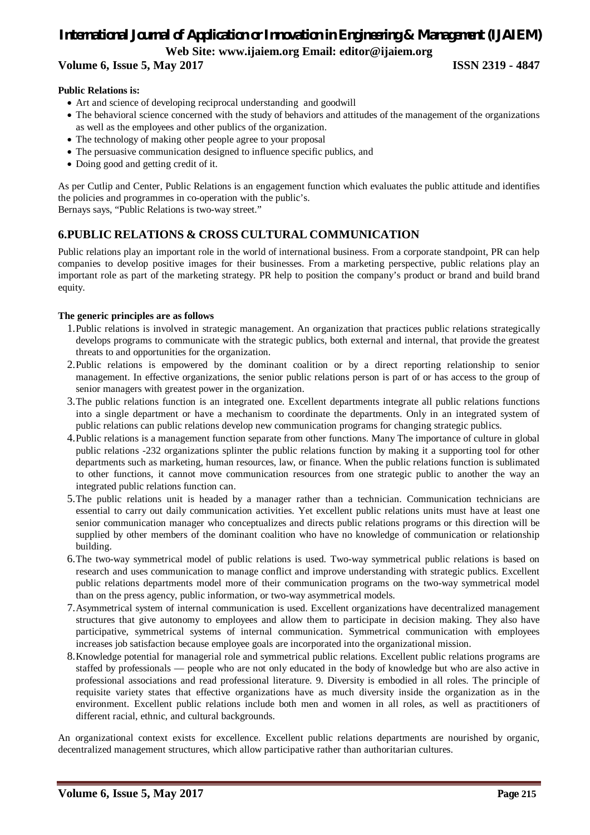# **Public Relations is:**

- Art and science of developing reciprocal understanding and goodwill
- The behavioral science concerned with the study of behaviors and attitudes of the management of the organizations as well as the employees and other publics of the organization.
- The technology of making other people agree to your proposal
- The persuasive communication designed to influence specific publics, and
- Doing good and getting credit of it.

As per Cutlip and Center, Public Relations is an engagement function which evaluates the public attitude and identifies the policies and programmes in co-operation with the public's.

Bernays says, "Public Relations is two-way street."

# **6.PUBLIC RELATIONS & CROSS CULTURAL COMMUNICATION**

Public relations play an important role in the world of international business. From a corporate standpoint, PR can help companies to develop positive images for their businesses. From a marketing perspective, public relations play an important role as part of the marketing strategy. PR help to position the company's product or brand and build brand equity.

# **The generic principles are as follows**

- 1.Public relations is involved in strategic management. An organization that practices public relations strategically develops programs to communicate with the strategic publics, both external and internal, that provide the greatest threats to and opportunities for the organization.
- 2.Public relations is empowered by the dominant coalition or by a direct reporting relationship to senior management. In effective organizations, the senior public relations person is part of or has access to the group of senior managers with greatest power in the organization.
- 3.The public relations function is an integrated one. Excellent departments integrate all public relations functions into a single department or have a mechanism to coordinate the departments. Only in an integrated system of public relations can public relations develop new communication programs for changing strategic publics.
- 4.Public relations is a management function separate from other functions. Many The importance of culture in global public relations -232 organizations splinter the public relations function by making it a supporting tool for other departments such as marketing, human resources, law, or finance. When the public relations function is sublimated to other functions, it cannot move communication resources from one strategic public to another the way an integrated public relations function can.
- 5.The public relations unit is headed by a manager rather than a technician. Communication technicians are essential to carry out daily communication activities. Yet excellent public relations units must have at least one senior communication manager who conceptualizes and directs public relations programs or this direction will be supplied by other members of the dominant coalition who have no knowledge of communication or relationship building.
- 6.The two-way symmetrical model of public relations is used. Two-way symmetrical public relations is based on research and uses communication to manage conflict and improve understanding with strategic publics. Excellent public relations departments model more of their communication programs on the two-way symmetrical model than on the press agency, public information, or two-way asymmetrical models.
- 7.Asymmetrical system of internal communication is used. Excellent organizations have decentralized management structures that give autonomy to employees and allow them to participate in decision making. They also have participative, symmetrical systems of internal communication. Symmetrical communication with employees increases job satisfaction because employee goals are incorporated into the organizational mission.
- 8.Knowledge potential for managerial role and symmetrical public relations. Excellent public relations programs are staffed by professionals — people who are not only educated in the body of knowledge but who are also active in professional associations and read professional literature. 9. Diversity is embodied in all roles. The principle of requisite variety states that effective organizations have as much diversity inside the organization as in the environment. Excellent public relations include both men and women in all roles, as well as practitioners of different racial, ethnic, and cultural backgrounds.

An organizational context exists for excellence. Excellent public relations departments are nourished by organic, decentralized management structures, which allow participative rather than authoritarian cultures.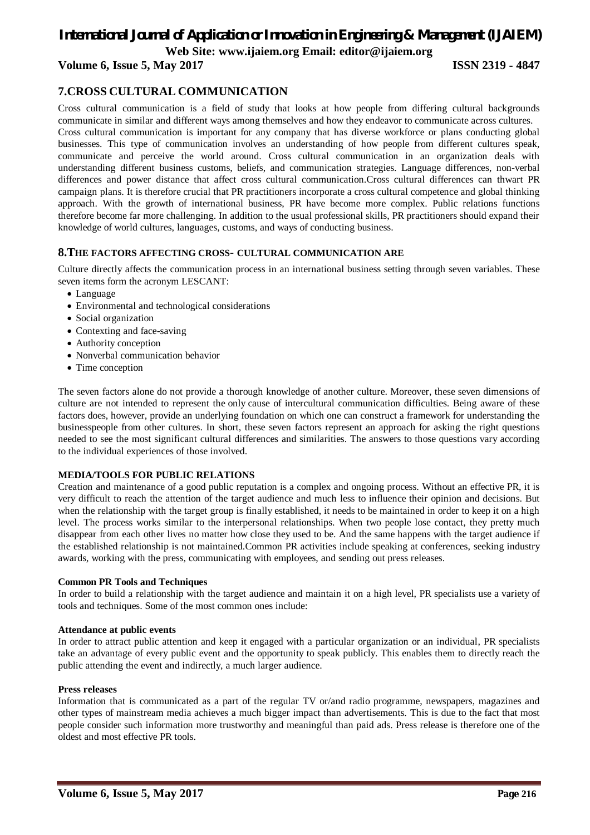# *International Journal of Application or Innovation in Engineering & Management (IJAIEM)*

**Web Site: www.ijaiem.org Email: editor@ijaiem.org**

**Volume 6, Issue 5, May 2017 ISSN 2319 - 4847**

# **7.CROSS CULTURAL COMMUNICATION**

Cross cultural communication is a field of study that looks at how people from differing cultural backgrounds communicate in similar and different ways among themselves and how they endeavor to communicate across cultures. Cross cultural communication is important for any company that has diverse workforce or plans conducting global businesses. This type of communication involves an understanding of how people from different cultures speak, communicate and perceive the world around. Cross cultural communication in an organization deals with understanding different business customs, beliefs, and communication strategies. Language differences, non-verbal differences and power distance that affect cross cultural communication.Cross cultural differences can thwart PR campaign plans. It is therefore crucial that PR practitioners incorporate a cross cultural competence and global thinking approach. With the growth of international business, PR have become more complex. Public relations functions therefore become far more challenging. In addition to the usual professional skills, PR practitioners should expand their knowledge of world cultures, languages, customs, and ways of conducting business.

# **8.THE FACTORS AFFECTING CROSS- CULTURAL COMMUNICATION ARE**

Culture directly affects the communication process in an international business setting through seven variables. These seven items form the acronym LESCANT:

- Language
- Environmental and technological considerations
- Social organization
- Contexting and face-saving
- Authority conception
- Nonverbal communication behavior
- Time conception

The seven factors alone do not provide a thorough knowledge of another culture. Moreover, these seven dimensions of culture are not intended to represent the only cause of intercultural communication difficulties. Being aware of these factors does, however, provide an underlying foundation on which one can construct a framework for understanding the businesspeople from other cultures. In short, these seven factors represent an approach for asking the right questions needed to see the most significant cultural differences and similarities. The answers to those questions vary according to the individual experiences of those involved.

## **MEDIA/TOOLS FOR PUBLIC RELATIONS**

Creation and maintenance of a good public reputation is a complex and ongoing process. Without an effective PR, it is very difficult to reach the attention of the target audience and much less to influence their opinion and decisions. But when the relationship with the target group is finally established, it needs to be maintained in order to keep it on a high level. The process works similar to the interpersonal relationships. When two people lose contact, they pretty much disappear from each other lives no matter how close they used to be. And the same happens with the target audience if the established relationship is not maintained.Common PR activities include speaking at conferences, seeking industry awards, working with the press, communicating with employees, and sending out press releases.

## **Common PR Tools and Techniques**

In order to build a relationship with the target audience and maintain it on a high level, PR specialists use a variety of tools and techniques. Some of the most common ones include:

## **Attendance at public events**

In order to attract public attention and keep it engaged with a particular organization or an individual, PR specialists take an advantage of every public event and the opportunity to speak publicly. This enables them to directly reach the public attending the event and indirectly, a much larger audience.

## **Press releases**

Information that is communicated as a part of the regular TV or/and radio programme, newspapers, magazines and other types of mainstream media achieves a much bigger impact than advertisements. This is due to the fact that most people consider such information more trustworthy and meaningful than paid ads. Press release is therefore one of the oldest and most effective PR tools.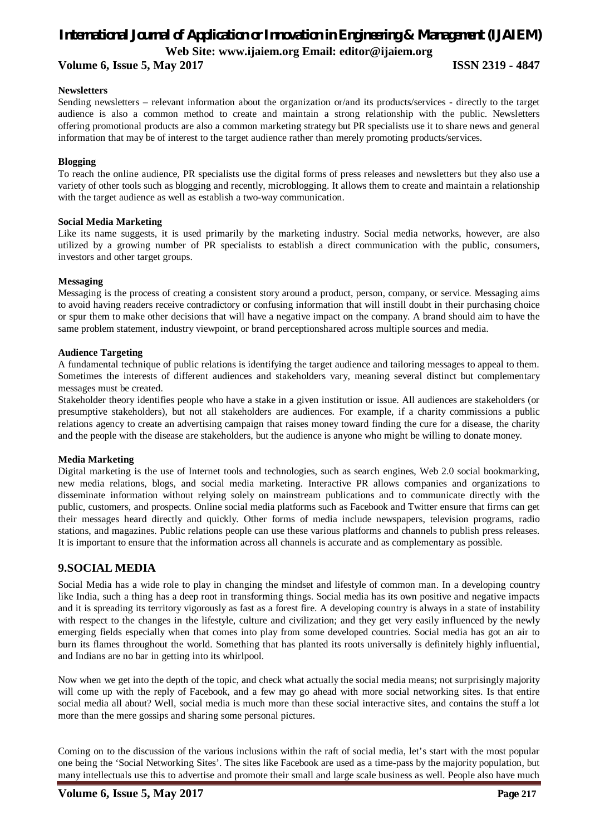# **Volume 6, Issue 5, May 2017 ISSN 2319 - 4847**

## **Newsletters**

Sending newsletters – relevant information about the organization or/and its products/services - directly to the target audience is also a common method to create and maintain a strong relationship with the public. Newsletters offering promotional products are also a common marketing strategy but PR specialists use it to share news and general information that may be of interest to the target audience rather than merely promoting products/services.

## **Blogging**

To reach the online audience, PR specialists use the digital forms of press releases and newsletters but they also use a variety of other tools such as blogging and recently, microblogging. It allows them to create and maintain a relationship with the target audience as well as establish a two-way communication.

## **Social Media Marketing**

Like its name suggests, it is used primarily by the marketing industry. Social media networks, however, are also utilized by a growing number of PR specialists to establish a direct communication with the public, consumers, investors and other target groups.

## **Messaging**

Messaging is the process of creating a consistent story around a product, person, company, or service. Messaging aims to avoid having readers receive contradictory or confusing information that will instill doubt in their purchasing choice or spur them to make other decisions that will have a negative impact on the company. A brand should aim to have the same problem statement, industry viewpoint, or brand perceptionshared across multiple sources and media.

# **Audience Targeting**

A fundamental technique of public relations is identifying the target audience and tailoring messages to appeal to them. Sometimes the interests of different audiences and stakeholders vary, meaning several distinct but complementary messages must be created.

Stakeholder theory identifies people who have a stake in a given institution or issue. All audiences are stakeholders (or presumptive stakeholders), but not all stakeholders are audiences. For example, if a charity commissions a public relations agency to create an advertising campaign that raises money toward finding the cure for a disease, the charity and the people with the disease are stakeholders, but the audience is anyone who might be willing to donate money.

## **Media Marketing**

Digital marketing is the use of Internet tools and technologies, such as search engines, Web 2.0 social bookmarking, new media relations, blogs, and social media marketing. Interactive PR allows companies and organizations to disseminate information without relying solely on mainstream publications and to communicate directly with the public, customers, and prospects. Online social media platforms such as Facebook and Twitter ensure that firms can get their messages heard directly and quickly. Other forms of media include newspapers, television programs, radio stations, and magazines. Public relations people can use these various platforms and channels to publish press releases. It is important to ensure that the information across all channels is accurate and as complementary as possible.

# **9.SOCIAL MEDIA**

Social Media has a wide role to play in changing the mindset and lifestyle of common man. In a developing country like India, such a thing has a deep root in transforming things. Social media has its own positive and negative impacts and it is spreading its territory vigorously as fast as a forest fire. A developing country is always in a state of instability with respect to the changes in the lifestyle, culture and civilization; and they get very easily influenced by the newly emerging fields especially when that comes into play from some developed countries. Social media has got an air to burn its flames throughout the world. Something that has planted its roots universally is definitely highly influential, and Indians are no bar in getting into its whirlpool.

Now when we get into the depth of the topic, and check what actually the social media means; not surprisingly majority will come up with the reply of Facebook, and a few may go ahead with more social networking sites. Is that entire social media all about? Well, social media is much more than these social interactive sites, and contains the stuff a lot more than the mere gossips and sharing some personal pictures.

Coming on to the discussion of the various inclusions within the raft of social media, let's start with the most popular one being the 'Social Networking Sites'. The sites like Facebook are used as a time-pass by the majority population, but many intellectuals use this to advertise and promote their small and large scale business as well. People also have much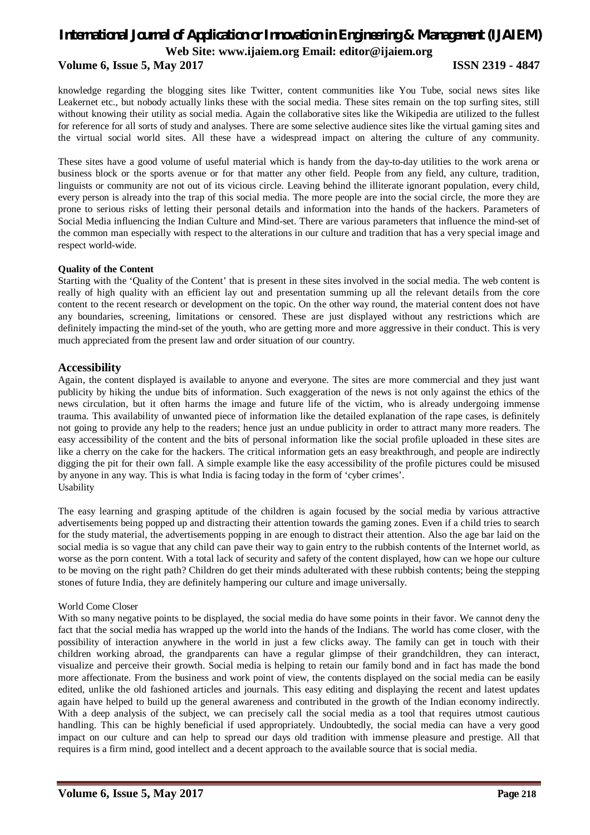# **Volume 6, Issue 5, May 2017 ISSN 2319 - 4847**

knowledge regarding the blogging sites like Twitter, content communities like You Tube, social news sites like Leakernet etc., but nobody actually links these with the social media. These sites remain on the top surfing sites, still without knowing their utility as social media. Again the collaborative sites like the Wikipedia are utilized to the fullest for reference for all sorts of study and analyses. There are some selective audience sites like the virtual gaming sites and the virtual social world sites. All these have a widespread impact on altering the culture of any community.

These sites have a good volume of useful material which is handy from the day-to-day utilities to the work arena or business block or the sports avenue or for that matter any other field. People from any field, any culture, tradition, linguists or community are not out of its vicious circle. Leaving behind the illiterate ignorant population, every child, every person is already into the trap of this social media. The more people are into the social circle, the more they are prone to serious risks of letting their personal details and information into the hands of the hackers. Parameters of Social Media influencing the Indian Culture and Mind-set. There are various parameters that influence the mind-set of the common man especially with respect to the alterations in our culture and tradition that has a very special image and respect world-wide.

## **Quality of the Content**

Starting with the 'Quality of the Content' that is present in these sites involved in the social media. The web content is really of high quality with an efficient lay out and presentation summing up all the relevant details from the core content to the recent research or development on the topic. On the other way round, the material content does not have any boundaries, screening, limitations or censored. These are just displayed without any restrictions which are definitely impacting the mind-set of the youth, who are getting more and more aggressive in their conduct. This is very much appreciated from the present law and order situation of our country.

# **Accessibility**

Again, the content displayed is available to anyone and everyone. The sites are more commercial and they just want publicity by hiking the undue bits of information. Such exaggeration of the news is not only against the ethics of the news circulation, but it often harms the image and future life of the victim, who is already undergoing immense trauma. This availability of unwanted piece of information like the detailed explanation of the rape cases, is definitely not going to provide any help to the readers; hence just an undue publicity in order to attract many more readers. The easy accessibility of the content and the bits of personal information like the social profile uploaded in these sites are like a cherry on the cake for the hackers. The critical information gets an easy breakthrough, and people are indirectly digging the pit for their own fall. A simple example like the easy accessibility of the profile pictures could be misused by anyone in any way. This is what India is facing today in the form of 'cyber crimes'. Usability

The easy learning and grasping aptitude of the children is again focused by the social media by various attractive advertisements being popped up and distracting their attention towards the gaming zones. Even if a child tries to search for the study material, the advertisements popping in are enough to distract their attention. Also the age bar laid on the social media is so vague that any child can pave their way to gain entry to the rubbish contents of the Internet world, as worse as the porn content. With a total lack of security and safety of the content displayed, how can we hope our culture to be moving on the right path? Children do get their minds adulterated with these rubbish contents; being the stepping stones of future India, they are definitely hampering our culture and image universally.

## World Come Closer

With so many negative points to be displayed, the social media do have some points in their favor. We cannot deny the fact that the social media has wrapped up the world into the hands of the Indians. The world has come closer, with the possibility of interaction anywhere in the world in just a few clicks away. The family can get in touch with their children working abroad, the grandparents can have a regular glimpse of their grandchildren, they can interact, visualize and perceive their growth. Social media is helping to retain our family bond and in fact has made the bond more affectionate. From the business and work point of view, the contents displayed on the social media can be easily edited, unlike the old fashioned articles and journals. This easy editing and displaying the recent and latest updates again have helped to build up the general awareness and contributed in the growth of the Indian economy indirectly. With a deep analysis of the subject, we can precisely call the social media as a tool that requires utmost cautious handling. This can be highly beneficial if used appropriately. Undoubtedly, the social media can have a very good impact on our culture and can help to spread our days old tradition with immense pleasure and prestige. All that requires is a firm mind, good intellect and a decent approach to the available source that is social media.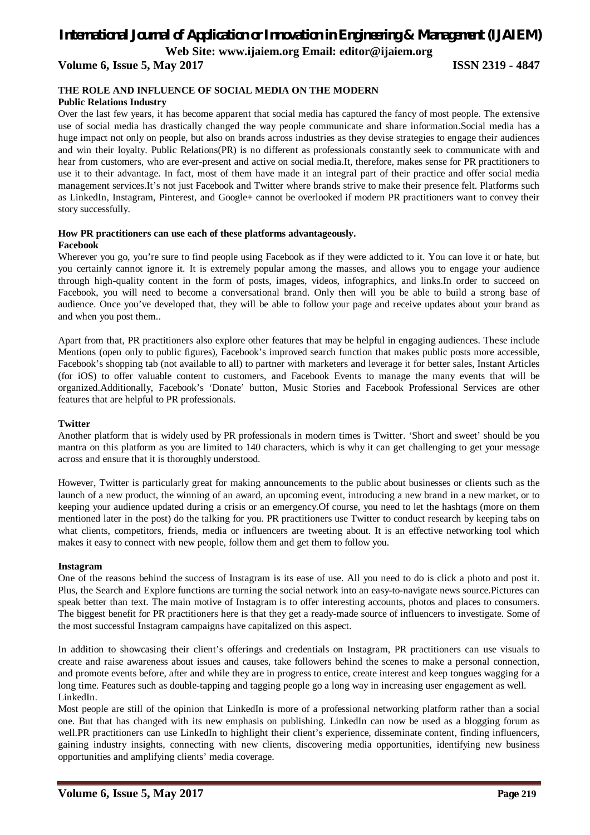# *International Journal of Application or Innovation in Engineering & Management (IJAIEM)*

**Web Site: www.ijaiem.org Email: editor@ijaiem.org**

**Volume 6, Issue 5, May 2017 ISSN 2319 - 4847**

# **THE ROLE AND INFLUENCE OF SOCIAL MEDIA ON THE MODERN**

## **Public Relations Industry**

Over the last few years, it has become apparent that social media has captured the fancy of most people. The extensive use of social media has drastically changed the way people communicate and share information.Social media has a huge impact not only on people, but also on brands across industries as they devise strategies to engage their audiences and win their loyalty. Public Relations(PR) is no different as professionals constantly seek to communicate with and hear from customers, who are ever-present and active on social media.It, therefore, makes sense for PR practitioners to use it to their advantage. In fact, most of them have made it an integral part of their practice and offer social media management services.It's not just Facebook and Twitter where brands strive to make their presence felt. Platforms such as LinkedIn, Instagram, Pinterest, and Google+ cannot be overlooked if modern PR practitioners want to convey their story successfully.

#### **How PR practitioners can use each of these platforms advantageously. Facebook**

Wherever you go, you're sure to find people using Facebook as if they were addicted to it. You can love it or hate, but you certainly cannot ignore it. It is extremely popular among the masses, and allows you to engage your audience through high-quality content in the form of posts, images, videos, infographics, and links.In order to succeed on Facebook, you will need to become a conversational brand. Only then will you be able to build a strong base of audience. Once you've developed that, they will be able to follow your page and receive updates about your brand as and when you post them..

Apart from that, PR practitioners also explore other features that may be helpful in engaging audiences. These include Mentions (open only to public figures), Facebook's improved search function that makes public posts more accessible, Facebook's shopping tab (not available to all) to partner with marketers and leverage it for better sales, Instant Articles (for iOS) to offer valuable content to customers, and Facebook Events to manage the many events that will be organized.Additionally, Facebook's 'Donate' button, Music Stories and Facebook Professional Services are other features that are helpful to PR professionals.

## **Twitter**

Another platform that is widely used by PR professionals in modern times is Twitter. 'Short and sweet' should be you mantra on this platform as you are limited to 140 characters, which is why it can get challenging to get your message across and ensure that it is thoroughly understood.

However, Twitter is particularly great for making announcements to the public about businesses or clients such as the launch of a new product, the winning of an award, an upcoming event, introducing a new brand in a new market, or to keeping your audience updated during a crisis or an emergency.Of course, you need to let the hashtags (more on them mentioned later in the post) do the talking for you. PR practitioners use Twitter to conduct research by keeping tabs on what clients, competitors, friends, media or influencers are tweeting about. It is an effective networking tool which makes it easy to connect with new people, follow them and get them to follow you.

## **Instagram**

One of the reasons behind the success of Instagram is its ease of use. All you need to do is click a photo and post it. Plus, the Search and Explore functions are turning the social network into an easy-to-navigate news source.Pictures can speak better than text. The main motive of Instagram is to offer interesting accounts, photos and places to consumers. The biggest benefit for PR practitioners here is that they get a ready-made source of influencers to investigate. Some of the most successful Instagram campaigns have capitalized on this aspect.

In addition to showcasing their client's offerings and credentials on Instagram, PR practitioners can use visuals to create and raise awareness about issues and causes, take followers behind the scenes to make a personal connection, and promote events before, after and while they are in progress to entice, create interest and keep tongues wagging for a long time. Features such as double-tapping and tagging people go a long way in increasing user engagement as well. LinkedIn.

Most people are still of the opinion that LinkedIn is more of a professional networking platform rather than a social one. But that has changed with its new emphasis on publishing. LinkedIn can now be used as a blogging forum as well.PR practitioners can use LinkedIn to highlight their client's experience, disseminate content, finding influencers, gaining industry insights, connecting with new clients, discovering media opportunities, identifying new business opportunities and amplifying clients' media coverage.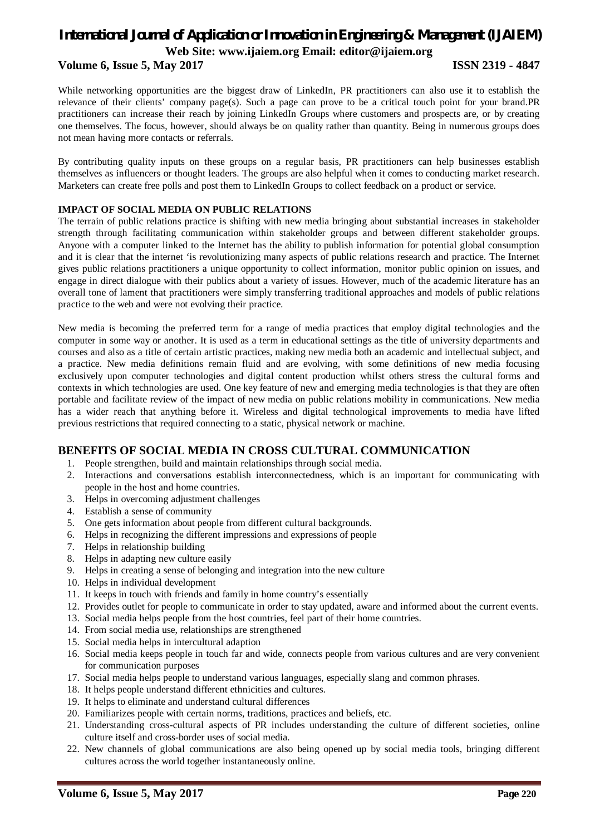# **Volume 6, Issue 5, May 2017 ISSN 2319 - 4847**

While networking opportunities are the biggest draw of LinkedIn, PR practitioners can also use it to establish the relevance of their clients' company page(s). Such a page can prove to be a critical touch point for your brand.PR practitioners can increase their reach by joining LinkedIn Groups where customers and prospects are, or by creating one themselves. The focus, however, should always be on quality rather than quantity. Being in numerous groups does not mean having more contacts or referrals.

By contributing quality inputs on these groups on a regular basis, PR practitioners can help businesses establish themselves as influencers or thought leaders. The groups are also helpful when it comes to conducting market research. Marketers can create free polls and post them to LinkedIn Groups to collect feedback on a product or service.

# **IMPACT OF SOCIAL MEDIA ON PUBLIC RELATIONS**

The terrain of public relations practice is shifting with new media bringing about substantial increases in stakeholder strength through facilitating communication within stakeholder groups and between different stakeholder groups. Anyone with a computer linked to the Internet has the ability to publish information for potential global consumption and it is clear that the internet 'is revolutionizing many aspects of public relations research and practice. The Internet gives public relations practitioners a unique opportunity to collect information, monitor public opinion on issues, and engage in direct dialogue with their publics about a variety of issues. However, much of the academic literature has an overall tone of lament that practitioners were simply transferring traditional approaches and models of public relations practice to the web and were not evolving their practice.

New media is becoming the preferred term for a range of media practices that employ digital technologies and the computer in some way or another. It is used as a term in educational settings as the title of university departments and courses and also as a title of certain artistic practices, making new media both an academic and intellectual subject, and a practice. New media definitions remain fluid and are evolving, with some definitions of new media focusing exclusively upon computer technologies and digital content production whilst others stress the cultural forms and contexts in which technologies are used. One key feature of new and emerging media technologies is that they are often portable and facilitate review of the impact of new media on public relations mobility in communications. New media has a wider reach that anything before it. Wireless and digital technological improvements to media have lifted previous restrictions that required connecting to a static, physical network or machine.

# **BENEFITS OF SOCIAL MEDIA IN CROSS CULTURAL COMMUNICATION**

- 1. People strengthen, build and maintain relationships through social media.
- 2. Interactions and conversations establish interconnectedness, which is an important for communicating with people in the host and home countries.
- 3. Helps in overcoming adjustment challenges
- 4. Establish a sense of community
- 5. One gets information about people from different cultural backgrounds.
- 6. Helps in recognizing the different impressions and expressions of people
- 7. Helps in relationship building
- 8. Helps in adapting new culture easily
- 9. Helps in creating a sense of belonging and integration into the new culture
- 10. Helps in individual development
- 11. It keeps in touch with friends and family in home country's essentially
- 12. Provides outlet for people to communicate in order to stay updated, aware and informed about the current events.
- 13. Social media helps people from the host countries, feel part of their home countries.
- 14. From social media use, relationships are strengthened
- 15. Social media helps in intercultural adaption
- 16. Social media keeps people in touch far and wide, connects people from various cultures and are very convenient for communication purposes
- 17. Social media helps people to understand various languages, especially slang and common phrases.
- 18. It helps people understand different ethnicities and cultures.
- 19. It helps to eliminate and understand cultural differences
- 20. Familiarizes people with certain norms, traditions, practices and beliefs, etc.
- 21. Understanding cross-cultural aspects of PR includes understanding the culture of different societies, online culture itself and cross-border uses of social media.
- 22. New channels of global communications are also being opened up by social media tools, bringing different cultures across the world together instantaneously online.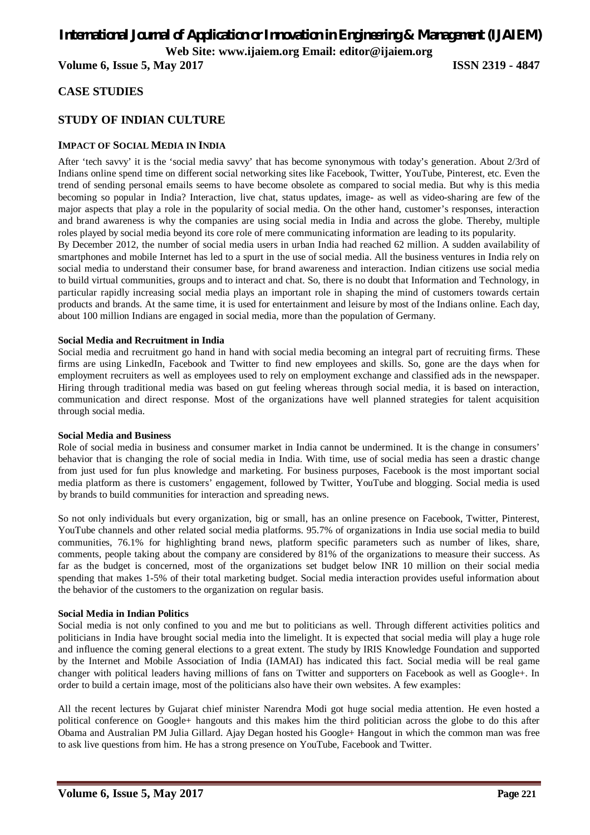# *International Journal of Application or Innovation in Engineering & Management (IJAIEM)*

**Web Site: www.ijaiem.org Email: editor@ijaiem.org**

**Volume 6, Issue 5, May 2017 ISSN 2319 - 4847**

# **CASE STUDIES**

# **STUDY OF INDIAN CULTURE**

# **IMPACT OF SOCIAL MEDIA IN INDIA**

After 'tech savvy' it is the 'social media savvy' that has become synonymous with today's generation. About 2/3rd of Indians online spend time on different social networking sites like Facebook, Twitter, YouTube, Pinterest, etc. Even the trend of sending personal emails seems to have become obsolete as compared to social media. But why is this media becoming so popular in India? Interaction, live chat, status updates, image- as well as video-sharing are few of the major aspects that play a role in the popularity of social media. On the other hand, customer's responses, interaction and brand awareness is why the companies are using social media in India and across the globe. Thereby, multiple roles played by social media beyond its core role of mere communicating information are leading to its popularity.

By December 2012, the number of social media users in urban India had reached 62 million. A sudden availability of smartphones and mobile Internet has led to a spurt in the use of social media. All the business ventures in India rely on social media to understand their consumer base, for brand awareness and interaction. Indian citizens use social media to build virtual communities, groups and to interact and chat. So, there is no doubt that Information and Technology, in particular rapidly increasing social media plays an important role in shaping the mind of customers towards certain products and brands. At the same time, it is used for entertainment and leisure by most of the Indians online. Each day, about 100 million Indians are engaged in social media, more than the population of Germany.

## **Social Media and Recruitment in India**

Social media and recruitment go hand in hand with social media becoming an integral part of recruiting firms. These firms are using LinkedIn, Facebook and Twitter to find new employees and skills. So, gone are the days when for employment recruiters as well as employees used to rely on employment exchange and classified ads in the newspaper. Hiring through traditional media was based on gut feeling whereas through social media, it is based on interaction, communication and direct response. Most of the organizations have well planned strategies for talent acquisition through social media.

#### **Social Media and Business**

Role of social media in business and consumer market in India cannot be undermined. It is the change in consumers' behavior that is changing the role of social media in India. With time, use of social media has seen a drastic change from just used for fun plus knowledge and marketing. For business purposes, Facebook is the most important social media platform as there is customers' engagement, followed by Twitter, YouTube and blogging. Social media is used by brands to build communities for interaction and spreading news.

So not only individuals but every organization, big or small, has an online presence on Facebook, Twitter, Pinterest, YouTube channels and other related social media platforms. 95.7% of organizations in India use social media to build communities, 76.1% for highlighting brand news, platform specific parameters such as number of likes, share, comments, people taking about the company are considered by 81% of the organizations to measure their success. As far as the budget is concerned, most of the organizations set budget below INR 10 million on their social media spending that makes 1-5% of their total marketing budget. Social media interaction provides useful information about the behavior of the customers to the organization on regular basis.

## **Social Media in Indian Politics**

Social media is not only confined to you and me but to politicians as well. Through different activities politics and politicians in India have brought social media into the limelight. It is expected that social media will play a huge role and influence the coming general elections to a great extent. The study by IRIS Knowledge Foundation and supported by the Internet and Mobile Association of India (IAMAI) has indicated this fact. Social media will be real game changer with political leaders having millions of fans on Twitter and supporters on Facebook as well as Google+. In order to build a certain image, most of the politicians also have their own websites. A few examples:

All the recent lectures by Gujarat chief minister Narendra Modi got huge social media attention. He even hosted a political conference on Google+ hangouts and this makes him the third politician across the globe to do this after Obama and Australian PM Julia Gillard. Ajay Degan hosted his Google+ Hangout in which the common man was free to ask live questions from him. He has a strong presence on YouTube, Facebook and Twitter.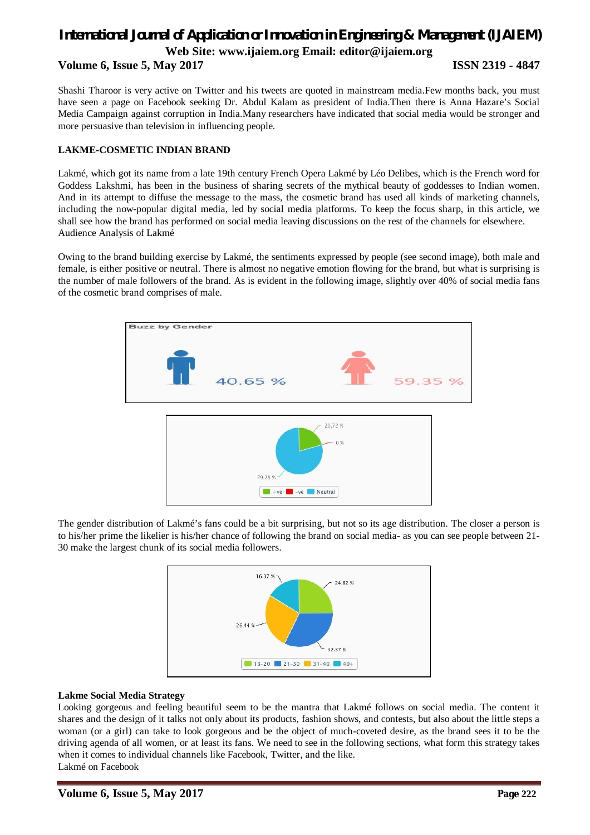# **Volume 6, Issue 5, May 2017 ISSN 2319 - 4847**

Shashi Tharoor is very active on Twitter and his tweets are quoted in mainstream media.Few months back, you must have seen a page on Facebook seeking Dr. Abdul Kalam as president of India.Then there is Anna Hazare's Social Media Campaign against corruption in India.Many researchers have indicated that social media would be stronger and more persuasive than television in influencing people.

# **LAKME-COSMETIC INDIAN BRAND**

Lakmé, which got its name from a late 19th century French Opera Lakmé by Léo Delibes, which is the French word for Goddess Lakshmi, has been in the business of sharing secrets of the mythical beauty of goddesses to Indian women. And in its attempt to diffuse the message to the mass, the cosmetic brand has used all kinds of marketing channels, including the now-popular digital media, led by social media platforms. To keep the focus sharp, in this article, we shall see how the brand has performed on social media leaving discussions on the rest of the channels for elsewhere. Audience Analysis of Lakmé

Owing to the brand building exercise by Lakmé, the sentiments expressed by people (see second image), both male and female, is either positive or neutral. There is almost no negative emotion flowing for the brand, but what is surprising is the number of male followers of the brand. As is evident in the following image, slightly over 40% of social media fans of the cosmetic brand comprises of male.



The gender distribution of Lakmé's fans could be a bit surprising, but not so its age distribution. The closer a person is to his/her prime the likelier is his/her chance of following the brand on social media- as you can see people between 21- 30 make the largest chunk of its social media followers.



# **Lakme Social Media Strategy**

Looking gorgeous and feeling beautiful seem to be the mantra that Lakmé follows on social media. The content it shares and the design of it talks not only about its products, fashion shows, and contests, but also about the little steps a woman (or a girl) can take to look gorgeous and be the object of much-coveted desire, as the brand sees it to be the driving agenda of all women, or at least its fans. We need to see in the following sections, what form this strategy takes when it comes to individual channels like Facebook, Twitter, and the like. Lakmé on Facebook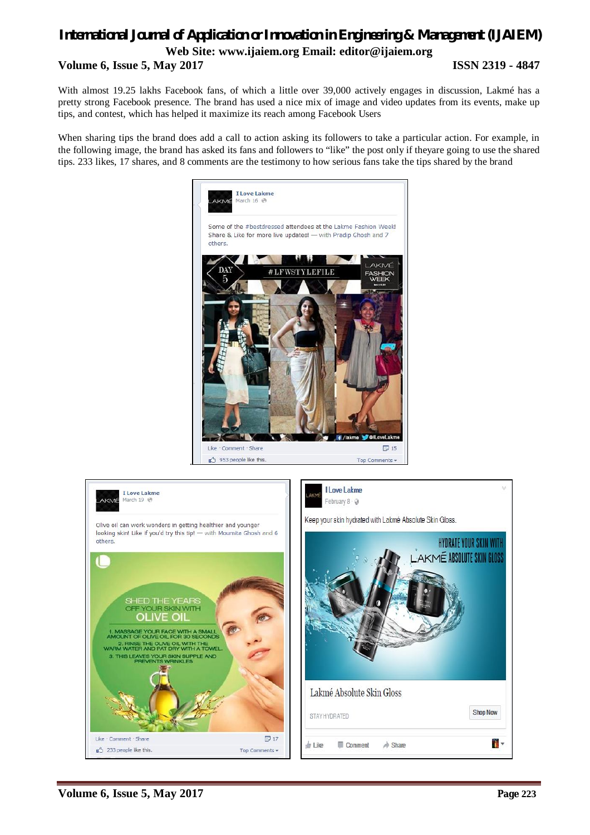With almost 19.25 lakhs Facebook fans, of which a little over 39,000 actively engages in discussion, Lakmé has a pretty strong Facebook presence. The brand has used a nice mix of image and video updates from its events, make up tips, and contest, which has helped it maximize its reach among Facebook Users

When sharing tips the brand does add a call to action asking its followers to take a particular action. For example, in the following image, the brand has asked its fans and followers to "like" the post only if theyare going to use the shared tips. 233 likes, 17 shares, and 8 comments are the testimony to how serious fans take the tips shared by the brand



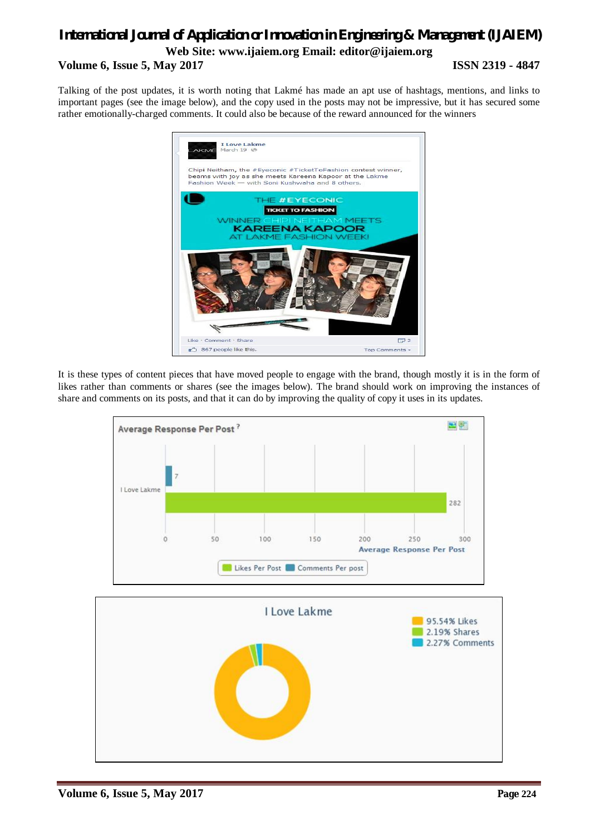Talking of the post updates, it is worth noting that Lakmé has made an apt use of hashtags, mentions, and links to important pages (see the image below), and the copy used in the posts may not be impressive, but it has secured some rather emotionally-charged comments. It could also be because of the reward announced for the winners



It is these types of content pieces that have moved people to engage with the brand, though mostly it is in the form of likes rather than comments or shares (see the images below). The brand should work on improving the instances of share and comments on its posts, and that it can do by improving the quality of copy it uses in its updates.

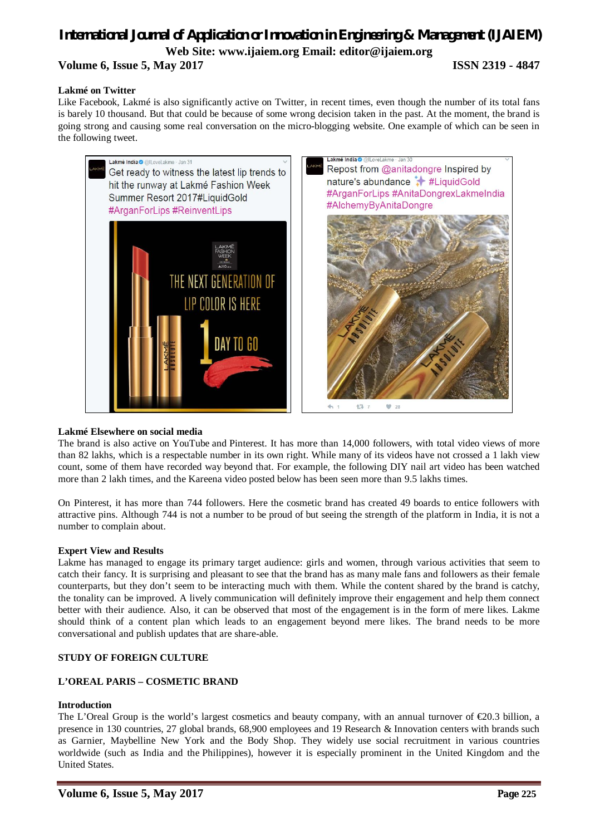## **Lakmé on Twitter**

Like Facebook, Lakmé is also significantly active on Twitter, in recent times, even though the number of its total fans is barely 10 thousand. But that could be because of some wrong decision taken in the past. At the moment, the brand is going strong and causing some real conversation on the micro-blogging website. One example of which can be seen in the following tweet.



## **Lakmé Elsewhere on social media**

The brand is also active on YouTube and Pinterest. It has more than 14,000 followers, with total video views of more than 82 lakhs, which is a respectable number in its own right. While many of its videos have not crossed a 1 lakh view count, some of them have recorded way beyond that. For example, the following DIY nail art video has been watched more than 2 lakh times, and the Kareena video posted below has been seen more than 9.5 lakhs times.

On Pinterest, it has more than 744 followers. Here the cosmetic brand has created 49 boards to entice followers with attractive pins. Although 744 is not a number to be proud of but seeing the strength of the platform in India, it is not a number to complain about.

## **Expert View and Results**

Lakme has managed to engage its primary target audience: girls and women, through various activities that seem to catch their fancy. It is surprising and pleasant to see that the brand has as many male fans and followers as their female counterparts, but they don't seem to be interacting much with them. While the content shared by the brand is catchy, the tonality can be improved. A lively communication will definitely improve their engagement and help them connect better with their audience. Also, it can be observed that most of the engagement is in the form of mere likes. Lakme should think of a content plan which leads to an engagement beyond mere likes. The brand needs to be more conversational and publish updates that are share-able.

# **STUDY OF FOREIGN CULTURE**

# **L'OREAL PARIS – COSMETIC BRAND**

## **Introduction**

The L'Oreal Group is the world's largest cosmetics and beauty company, with an annual turnover of €20.3 billion, a presence in 130 countries, 27 global brands, 68,900 employees and 19 Research & Innovation centers with brands such as Garnier, Maybelline New York and the Body Shop. They widely use social recruitment in various countries worldwide (such as India and the Philippines), however it is especially prominent in the United Kingdom and the United States.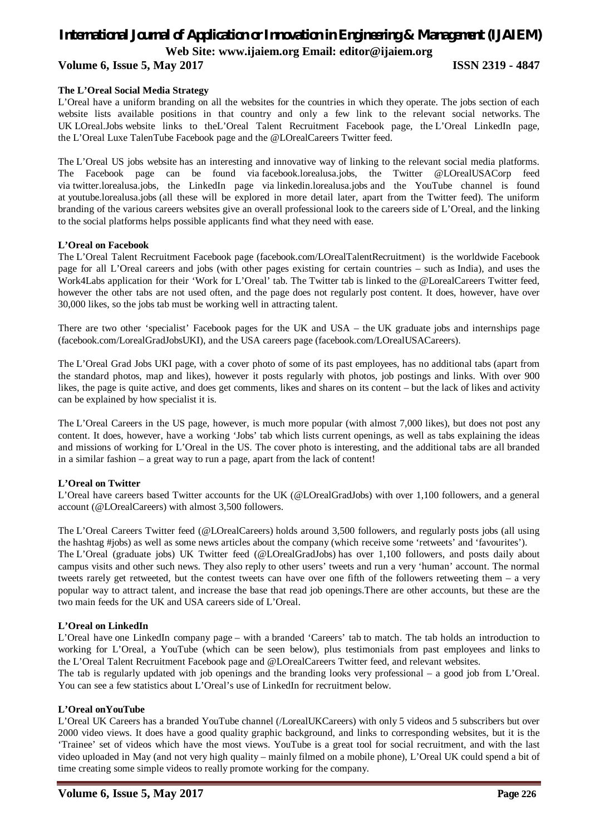# **Volume 6, Issue 5, May 2017 ISSN 2319 - 4847**

#### **The L'Oreal Social Media Strategy**

L'Oreal have a uniform branding on all the websites for the countries in which they operate. The jobs section of each website lists available positions in that country and only a few link to the relevant social networks. The UK LOreal.Jobs website links to theL'Oreal Talent Recruitment Facebook page, the L'Oreal LinkedIn page, the L'Oreal Luxe TalenTube Facebook page and the @LOrealCareers Twitter feed.

The L'Oreal US jobs website has an interesting and innovative way of linking to the relevant social media platforms. The Facebook page can be found via facebook.lorealusa.jobs, the Twitter @LOrealUSACorp feed via twitter.lorealusa.jobs, the LinkedIn page via linkedin.lorealusa.jobs and the YouTube channel is found at youtube.lorealusa.jobs (all these will be explored in more detail later, apart from the Twitter feed). The uniform branding of the various careers websites give an overall professional look to the careers side of L'Oreal, and the linking to the social platforms helps possible applicants find what they need with ease.

#### **L'Oreal on Facebook**

The L'Oreal Talent Recruitment Facebook page (facebook.com/LOrealTalentRecruitment) is the worldwide Facebook page for all L'Oreal careers and jobs (with other pages existing for certain countries – such as India), and uses the Work4Labs application for their 'Work for L'Oreal' tab. The Twitter tab is linked to the @LorealCareers Twitter feed, however the other tabs are not used often, and the page does not regularly post content. It does, however, have over 30,000 likes, so the jobs tab must be working well in attracting talent.

There are two other 'specialist' Facebook pages for the UK and USA – the UK graduate jobs and internships page (facebook.com/LorealGradJobsUKI), and the USA careers page (facebook.com/LOrealUSACareers).

The L'Oreal Grad Jobs UKI page, with a cover photo of some of its past employees, has no additional tabs (apart from the standard photos, map and likes), however it posts regularly with photos, job postings and links. With over 900 likes, the page is quite active, and does get comments, likes and shares on its content – but the lack of likes and activity can be explained by how specialist it is.

The L'Oreal Careers in the US page, however, is much more popular (with almost 7,000 likes), but does not post any content. It does, however, have a working 'Jobs' tab which lists current openings, as well as tabs explaining the ideas and missions of working for L'Oreal in the US. The cover photo is interesting, and the additional tabs are all branded in a similar fashion – a great way to run a page, apart from the lack of content!

## **L'Oreal on Twitter**

L'Oreal have careers based Twitter accounts for the UK (@LOrealGradJobs) with over 1,100 followers, and a general account (@LOrealCareers) with almost 3,500 followers.

The L'Oreal Careers Twitter feed (@LOrealCareers) holds around 3,500 followers, and regularly posts jobs (all using the hashtag #jobs) as well as some news articles about the company (which receive some 'retweets' and 'favourites'). The L'Oreal (graduate jobs) UK Twitter feed (@LOrealGradJobs) has over 1,100 followers, and posts daily about campus visits and other such news. They also reply to other users' tweets and run a very 'human' account. The normal tweets rarely get retweeted, but the contest tweets can have over one fifth of the followers retweeting them – a very popular way to attract talent, and increase the base that read job openings.There are other accounts, but these are the two main feeds for the UK and USA careers side of L'Oreal.

## **L'Oreal on LinkedIn**

L'Oreal have one LinkedIn company page – with a branded 'Careers' tab to match. The tab holds an introduction to working for L'Oreal, a YouTube (which can be seen below), plus testimonials from past employees and links to the L'Oreal Talent Recruitment Facebook page and @LOrealCareers Twitter feed, and relevant websites.

The tab is regularly updated with job openings and the branding looks very professional – a good job from L'Oreal. You can see a few statistics about L'Oreal's use of LinkedIn for recruitment below.

#### **L'Oreal onYouTube**

L'Oreal UK Careers has a branded YouTube channel (/LorealUKCareers) with only 5 videos and 5 subscribers but over 2000 video views. It does have a good quality graphic background, and links to corresponding websites, but it is the 'Trainee' set of videos which have the most views. YouTube is a great tool for social recruitment, and with the last video uploaded in May (and not very high quality – mainly filmed on a mobile phone), L'Oreal UK could spend a bit of time creating some simple videos to really promote working for the company.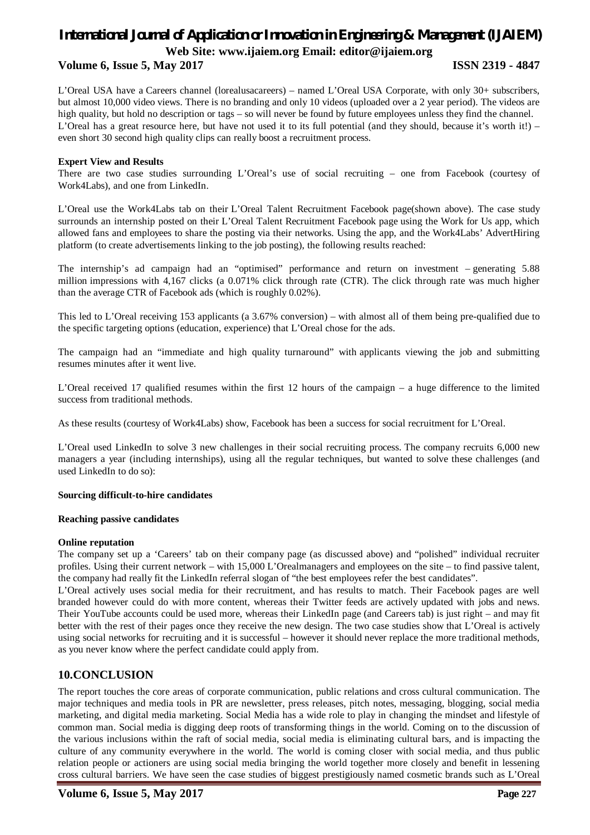# **Volume 6, Issue 5, May 2017 ISSN 2319 - 4847**

L'Oreal USA have a Careers channel (lorealusacareers) – named L'Oreal USA Corporate, with only 30+ subscribers, but almost 10,000 video views. There is no branding and only 10 videos (uploaded over a 2 year period). The videos are high quality, but hold no description or tags – so will never be found by future employees unless they find the channel. L'Oreal has a great resource here, but have not used it to its full potential (and they should, because it's worth it!) – even short 30 second high quality clips can really boost a recruitment process.

## **Expert View and Results**

There are two case studies surrounding L'Oreal's use of social recruiting – one from Facebook (courtesy of Work4Labs), and one from LinkedIn.

L'Oreal use the Work4Labs tab on their L'Oreal Talent Recruitment Facebook page(shown above). The case study surrounds an internship posted on their L'Oreal Talent Recruitment Facebook page using the Work for Us app, which allowed fans and employees to share the posting via their networks. Using the app, and the Work4Labs' AdvertHiring platform (to create advertisements linking to the job posting), the following results reached:

The internship's ad campaign had an "optimised" performance and return on investment – generating 5.88 million impressions with 4,167 clicks (a 0.071% click through rate (CTR). The click through rate was much higher than the average CTR of Facebook ads (which is roughly 0.02%).

This led to L'Oreal receiving 153 applicants (a 3.67% conversion) – with almost all of them being pre-qualified due to the specific targeting options (education, experience) that L'Oreal chose for the ads.

The campaign had an "immediate and high quality turnaround" with applicants viewing the job and submitting resumes minutes after it went live.

L'Oreal received 17 qualified resumes within the first 12 hours of the campaign – a huge difference to the limited success from traditional methods.

As these results (courtesy of Work4Labs) show, Facebook has been a success for social recruitment for L'Oreal.

L'Oreal used LinkedIn to solve 3 new challenges in their social recruiting process. The company recruits 6,000 new managers a year (including internships), using all the regular techniques, but wanted to solve these challenges (and used LinkedIn to do so):

## **Sourcing difficult-to-hire candidates**

## **Reaching passive candidates**

## **Online reputation**

The company set up a 'Careers' tab on their company page (as discussed above) and "polished" individual recruiter profiles. Using their current network – with 15,000 L'Orealmanagers and employees on the site – to find passive talent, the company had really fit the LinkedIn referral slogan of "the best employees refer the best candidates".

L'Oreal actively uses social media for their recruitment, and has results to match. Their Facebook pages are well branded however could do with more content, whereas their Twitter feeds are actively updated with jobs and news. Their YouTube accounts could be used more, whereas their LinkedIn page (and Careers tab) is just right – and may fit better with the rest of their pages once they receive the new design. The two case studies show that L'Oreal is actively using social networks for recruiting and it is successful – however it should never replace the more traditional methods, as you never know where the perfect candidate could apply from.

# **10.CONCLUSION**

The report touches the core areas of corporate communication, public relations and cross cultural communication. The major techniques and media tools in PR are newsletter, press releases, pitch notes, messaging, blogging, social media marketing, and digital media marketing. Social Media has a wide role to play in changing the mindset and lifestyle of common man. Social media is digging deep roots of transforming things in the world. Coming on to the discussion of the various inclusions within the raft of social media, social media is eliminating cultural bars, and is impacting the culture of any community everywhere in the world. The world is coming closer with social media, and thus public relation people or actioners are using social media bringing the world together more closely and benefit in lessening cross cultural barriers. We have seen the case studies of biggest prestigiously named cosmetic brands such as L'Oreal